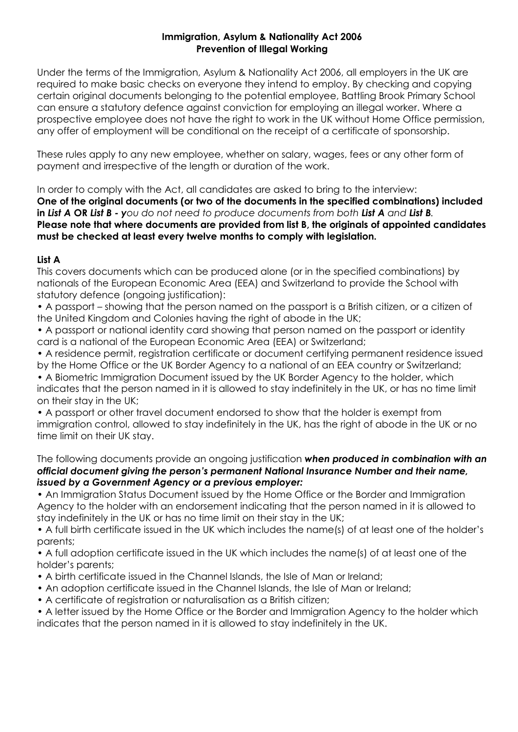## **Immigration, Asylum & Nationality Act 2006 Prevention of Illegal Working**

Under the terms of the Immigration, Asylum & Nationality Act 2006, all employers in the UK are required to make basic checks on everyone they intend to employ. By checking and copying certain original documents belonging to the potential employee, Battling Brook Primary School can ensure a statutory defence against conviction for employing an illegal worker. Where a prospective employee does not have the right to work in the UK without Home Office permission, any offer of employment will be conditional on the receipt of a certificate of sponsorship.

These rules apply to any new employee, whether on salary, wages, fees or any other form of payment and irrespective of the length or duration of the work.

In order to comply with the Act, all candidates are asked to bring to the interview: **One of the original documents (or two of the documents in the specified combinations) included in** *List A* **OR** *List B - you do not need to produce documents from both List A and List B.* **Please note that where documents are provided from list B, the originals of appointed candidates must be checked at least every twelve months to comply with legislation.**

## **List A**

This covers documents which can be produced alone (or in the specified combinations) by nationals of the European Economic Area (EEA) and Switzerland to provide the School with statutory defence (ongoing justification):

• A passport – showing that the person named on the passport is a British citizen, or a citizen of the United Kingdom and Colonies having the right of abode in the UK;

• A passport or national identity card showing that person named on the passport or identity card is a national of the European Economic Area (EEA) or Switzerland;

• A residence permit, registration certificate or document certifying permanent residence issued by the Home Office or the UK Border Agency to a national of an EEA country or Switzerland; • A Biometric Immigration Document issued by the UK Border Agency to the holder, which

indicates that the person named in it is allowed to stay indefinitely in the UK, or has no time limit on their stay in the UK;

• A passport or other travel document endorsed to show that the holder is exempt from immigration control, allowed to stay indefinitely in the UK, has the right of abode in the UK or no time limit on their UK stay.

The following documents provide an ongoing justification *when produced in combination with an official document giving the person's permanent National Insurance Number and their name, issued by a Government Agency or a previous employer:*

• An Immigration Status Document issued by the Home Office or the Border and Immigration Agency to the holder with an endorsement indicating that the person named in it is allowed to stay indefinitely in the UK or has no time limit on their stay in the UK;

• A full birth certificate issued in the UK which includes the name(s) of at least one of the holder's parents:

• A full adoption certificate issued in the UK which includes the name(s) of at least one of the holder's parents;

- A birth certificate issued in the Channel Islands, the Isle of Man or Ireland;
- An adoption certificate issued in the Channel Islands, the Isle of Man or Ireland;
- A certificate of registration or naturalisation as a British citizen;

• A letter issued by the Home Office or the Border and Immigration Agency to the holder which indicates that the person named in it is allowed to stay indefinitely in the UK.